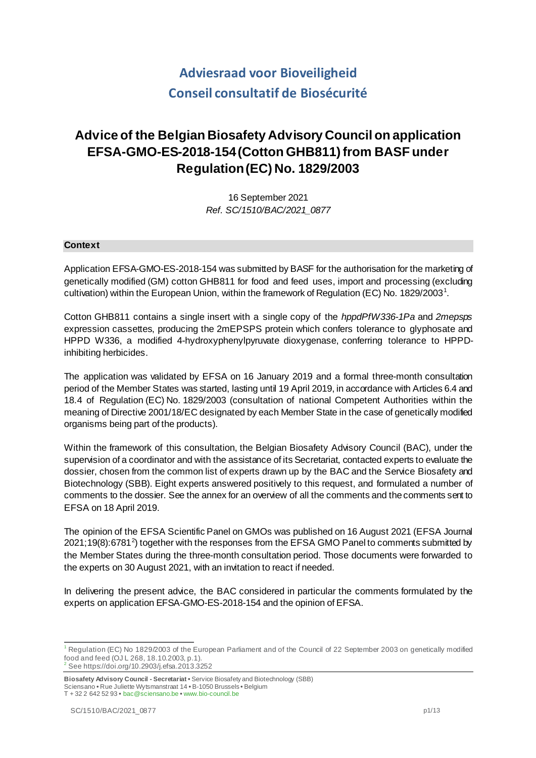# **Adviesraad voor Bioveiligheid Conseil consultatif de Biosécurité**

# **Advice of the Belgian Biosafety Advisory Council on application EFSA-GMO-ES-2018-154(Cotton GHB811) from BASF under Regulation (EC) No. 1829/2003**

16 September 2021 *Ref. SC/1510/BAC/2021\_0877*

## **Context**

Application EFSA-GMO-ES-2018-154 was submitted by BASF for the authorisation for the marketing of genetically modified (GM) cotton GHB811 for food and feed uses, import and processing (excluding cultivation) within the European Union, within the framework of Regulation (EC) No. [1](#page-0-0)829/2003<sup>1</sup>.

Cotton GHB811 contains a single insert with a single copy of the *hppdPfW336-1Pa* and *2mepsps* expression cassettes, producing the 2mEPSPS protein which confers tolerance to glyphosate and HPPD W336, a modified 4-hydroxyphenylpyruvate dioxygenase, conferring tolerance to HPPDinhibiting herbicides.

The application was validated by EFSA on 16 January 2019 and a formal three-month consultation period of the Member States was started, lasting until 19 April 2019, in accordance with Articles 6.4 and 18.4 of Regulation (EC) No. 1829/2003 (consultation of national Competent Authorities within the meaning of Directive 2001/18/EC designated by each Member State in the case of genetically modified organisms being part of the products).

Within the framework of this consultation, the Belgian Biosafety Advisory Council (BAC), under the supervision of a coordinator and with the assistance of its Secretariat, contacted experts to evaluate the dossier, chosen from the common list of experts drawn up by the BAC and the Service Biosafety and Biotechnology (SBB). Eight experts answered positively to this request, and formulated a number of comments to the dossier. See the annex for an overview of all the comments and the comments sent to EFSA on 18 April 2019.

The opinion of the EFSA Scientific Panel on GMOs was published on 16 August 2021 (EFSA Journal  $2021;19(8):6781<sup>2</sup>$  $2021;19(8):6781<sup>2</sup>$ ) together with the responses from the EFSA GMO Panel to comments submitted by the Member States during the three-month consultation period. Those documents were forwarded to the experts on 30 August 2021, with an invitation to react if needed.

In delivering the present advice, the BAC considered in particular the comments formulated by the experts on application EFSA-GMO-ES-2018-154 and the opinion of EFSA.

<span id="page-0-0"></span><sup>&</sup>lt;sup>1</sup> Regulation (EC) No 1829/2003 of the European Parliament and of the Council of 22 September 2003 on genetically modified food and feed (OJ L 268, 18.10.2003, p.1). <sup>2</sup> See https://doi.org/10.2903/j.efsa.2013.3252

<span id="page-0-1"></span>**Biosafety Advisory Council - Secretariat •** Service Biosafety and Biotechnology (SBB) Sciensano **•** Rue Juliette Wytsmanstraat 14 **•** B-1050 Brussels **•** Belgium T + 32 2 642 52 93 **•** bac@sciensano.be **•** www.bio-council.be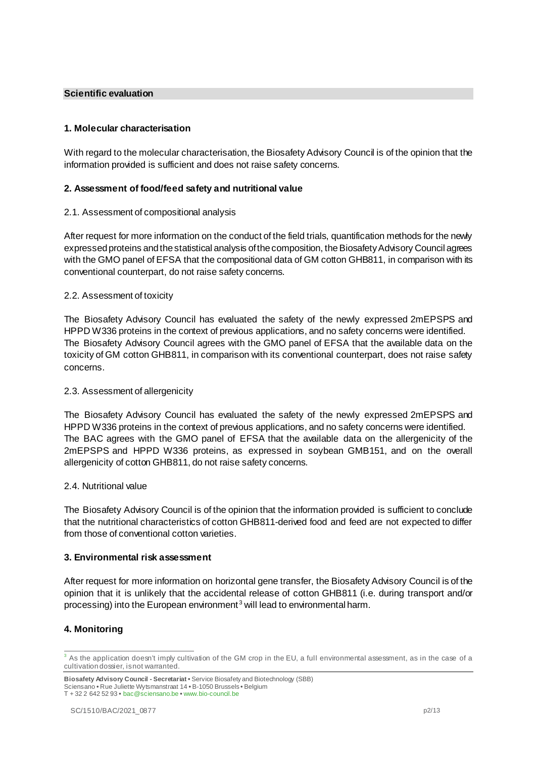#### **Scientific evaluation**

## **1. Molecular characterisation**

With regard to the molecular characterisation, the Biosafety Advisory Council is of the opinion that the information provided is sufficient and does not raise safety concerns.

## **2. Assessment of food/feed safety and nutritional value**

## 2.1. Assessment of compositional analysis

After request for more information on the conduct of the field trials, quantification methods for the newly expressed proteins and the statistical analysis of the composition, the Biosafety Advisory Council agrees with the GMO panel of EFSA that the compositional data of GM cotton GHB811, in comparison with its conventional counterpart, do not raise safety concerns.

# 2.2. Assessment of toxicity

The Biosafety Advisory Council has evaluated the safety of the newly expressed 2mEPSPS and HPPD W336 proteins in the context of previous applications, and no safety concerns were identified. The Biosafety Advisory Council agrees with the GMO panel of EFSA that the available data on the toxicity of GM cotton GHB811, in comparison with its conventional counterpart, does not raise safety concerns.

## 2.3. Assessment of allergenicity

The Biosafety Advisory Council has evaluated the safety of the newly expressed 2mEPSPS and HPPD W336 proteins in the context of previous applications, and no safety concerns were identified. The BAC agrees with the GMO panel of EFSA that the available data on the allergenicity of the 2mEPSPS and HPPD W336 proteins, as expressed in soybean GMB151, and on the overall allergenicity of cotton GHB811, do not raise safety concerns.

## 2.4. Nutritional value

The Biosafety Advisory Council is of the opinion that the information provided is sufficient to conclude that the nutritional characteristics of cotton GHB811-derived food and feed are not expected to differ from those of conventional cotton varieties.

## **3. Environmental risk assessment**

After request for more information on horizontal gene transfer, the Biosafety Advisory Council is of the opinion that it is unlikely that the accidental release of cotton GHB811 (i.e. during transport and/or processing) into the European environment<sup>[3](#page-1-0)</sup> will lead to environmental harm.

# **4. Monitoring**

<span id="page-1-0"></span> $3$  As the application doesn't imply cultivation of the GM crop in the EU, a full environmental assessment, as in the case of a cultivation dossier, is not warranted.

**Biosafety Advisory Council - Secretariat •** Service Biosafety and Biotechnology (SBB) Sciensano **•** Rue Juliette Wytsmanstraat 14 **•** B-1050 Brussels **•** Belgium T + 32 2 642 52 93 **•** bac@sciensano.be **•** www.bio-council.be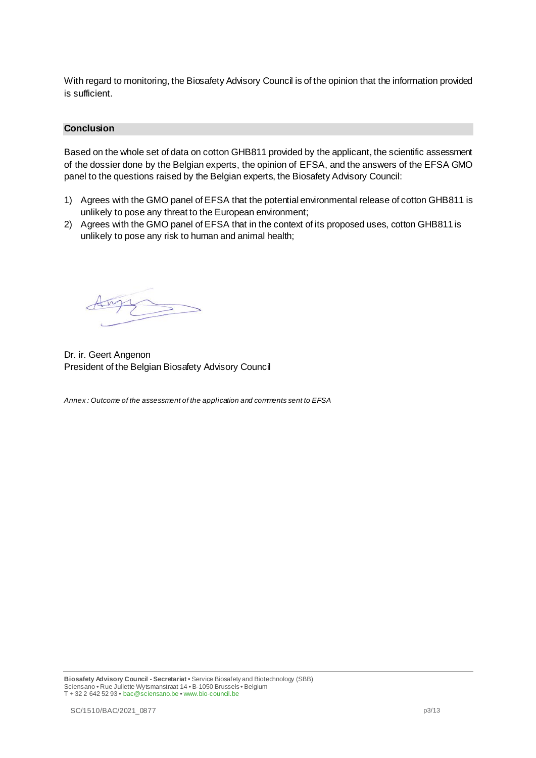With regard to monitoring, the Biosafety Advisory Council is of the opinion that the information provided is sufficient.

#### **Conclusion**

Based on the whole set of data on cotton GHB811 provided by the applicant, the scientific assessment of the dossier done by the Belgian experts, the opinion of EFSA, and the answers of the EFSA GMO panel to the questions raised by the Belgian experts, the Biosafety Advisory Council:

- 1) Agrees with the GMO panel of EFSA that the potential environmental release of cotton GHB811 is unlikely to pose any threat to the European environment;
- 2) Agrees with the GMO panel of EFSA that in the context of its proposed uses, cotton GHB811 is unlikely to pose any risk to human and animal health;

Dr. ir. Geert Angenon President of the Belgian Biosafety Advisory Council

*Annex : Outcome of the assessment of the application and comments sent to EFSA*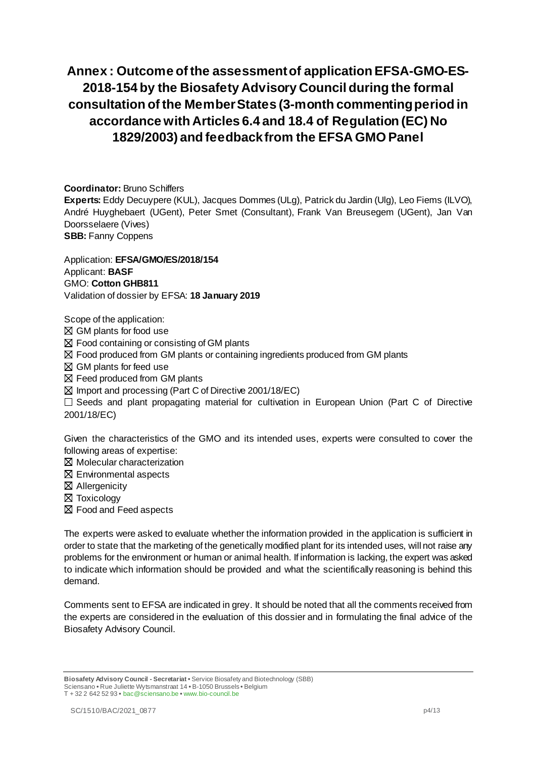# **Annex : Outcome of the assessment of application EFSA-GMO-ES-2018-154 by the Biosafety Advisory Council during the formal consultation of the Member States (3-month commenting period in accordance with Articles 6.4 and 18.4 of Regulation (EC) No 1829/2003) and feedbackfrom the EFSA GMO Panel**

**Coordinator:** Bruno Schiffers

**Experts:** Eddy Decuypere (KUL), Jacques Dommes (ULg), Patrick du Jardin (Ulg), Leo Fiems (ILVO), André Huyghebaert (UGent), Peter Smet (Consultant), Frank Van Breusegem (UGent), Jan Van Doorsselaere (Vives)

**SBB:** Fanny Coppens

Application: **EFSA/GMO/ES/2018/154** Applicant: **BASF** GMO: **Cotton GHB811** Validation of dossier by EFSA: **18 January 2019**

Scope of the application:

 $\boxtimes$  GM plants for food use

 $\boxtimes$  Food containing or consisting of GM plants

 $\boxtimes$  Food produced from GM plants or containing ingredients produced from GM plants

 $\boxtimes$  GM plants for feed use

 $\boxtimes$  Feed produced from GM plants

 $\boxtimes$  Import and processing (Part C of Directive 2001/18/EC)

Seeds and plant propagating material for cultivation in European Union (Part C of Directive 2001/18/EC)

Given the characteristics of the GMO and its intended uses, experts were consulted to cover the following areas of expertise:

 $\boxtimes$  Molecular characterization

 $\boxtimes$  Environmental aspects

Allergenicity

**X** Toxicology

Food and Feed aspects

The experts were asked to evaluate whether the information provided in the application is sufficient in order to state that the marketing of the genetically modified plant for its intended uses, will not raise any problems for the environment or human or animal health. If information is lacking, the expert was asked to indicate which information should be provided and what the scientifically reasoning is behind this demand.

Comments sent to EFSA are indicated in grey. It should be noted that all the comments received from the experts are considered in the evaluation of this dossier and in formulating the final advice of the Biosafety Advisory Council.

**Biosafety Advisory Council - Secretariat •** Service Biosafety and Biotechnology (SBB) Sciensano **•** Rue Juliette Wytsmanstraat 14 **•** B-1050 Brussels **•** Belgium T + 32 2 642 52 93 **•** bac@sciensano.be **•** www.bio-council.be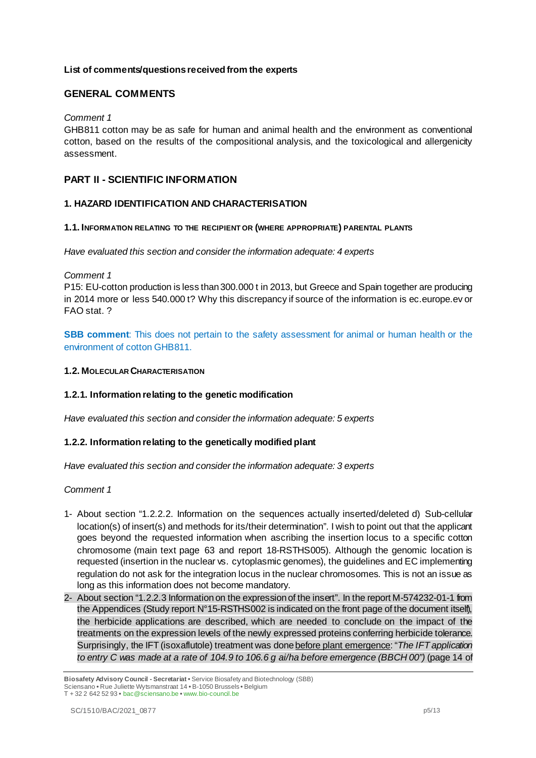## **List of comments/questionsreceived from the experts**

# **GENERAL COMMENTS**

#### *Comment 1*

GHB811 cotton may be as safe for human and animal health and the environment as conventional cotton, based on the results of the compositional analysis, and the toxicological and allergenicity assessment.

# **PART II - SCIENTIFIC INFORMATION**

## **1. HAZARD IDENTIFICATION AND CHARACTERISATION**

#### **1.1. INFORMATION RELATING TO THE RECIPIENT OR (WHERE APPROPRIATE) PARENTAL PLANTS**

*Have evaluated this section and consider the information adequate: 4 experts*

*Comment 1*

P15: EU-cotton production is less than 300.000 t in 2013, but Greece and Spain together are producing in 2014 more or less 540.000 t? Why this discrepancy if source of the information is ec.europe.ev or FAO stat. ?

**SBB comment**: This does not pertain to the safety assessment for animal or human health or the environment of cotton GHB811.

#### **1.2. MOLECULAR CHARACTERISATION**

## **1.2.1. Information relating to the genetic modification**

*Have evaluated this section and consider the information adequate: 5 experts*

## **1.2.2. Information relating to the genetically modified plant**

*Have evaluated this section and consider the information adequate: 3 experts*

#### *Comment 1*

- 1- About section "1.2.2.2. Information on the sequences actually inserted/deleted d) Sub-cellular location(s) of insert(s) and methods for its/their determination". I wish to point out that the applicant goes beyond the requested information when ascribing the insertion locus to a specific cotton chromosome (main text page 63 and report 18-RSTHS005). Although the genomic location is requested (insertion in the nuclear vs. cytoplasmic genomes), the guidelines and EC implementing regulation do not ask for the integration locus in the nuclear chromosomes. This is not an issue as long as this information does not become mandatory.
- 2- About section "1.2.2.3 Information on the expression of the insert". In the report M-574232-01-1 from the Appendices (Study report N°15-RSTHS002 is indicated on the front page of the document itself), the herbicide applications are described, which are needed to conclude on the impact of the treatments on the expression levels of the newly expressed proteins conferring herbicide tolerance. Surprisingly, the IFT (isoxaflutole) treatment was done before plant emergence: "*The IFT application to entry C was made at a rate of 104.9 to 106.6 g ai/ha before emergence (BBCH 00")* (page 14 of

**Biosafety Advisory Council - Secretariat •** Service Biosafety and Biotechnology (SBB) Sciensano **•** Rue Juliette Wytsmanstraat 14 **•** B-1050 Brussels **•** Belgium T + 32 2 642 52 93 **•** bac@sciensano.be **•** www.bio-council.be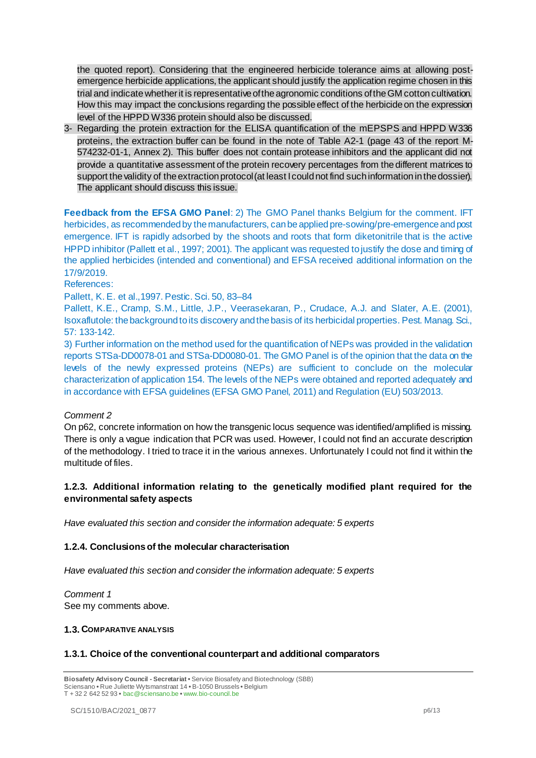the quoted report). Considering that the engineered herbicide tolerance aims at allowing postemergence herbicide applications, the applicant should justify the application regime chosen in this trial and indicate whether it is representative of the agronomic conditions of the GM cotton cultivation. How this may impact the conclusions regarding the possible effect of the herbicide on the expression level of the HPPD W336 protein should also be discussed.

3- Regarding the protein extraction for the ELISA quantification of the mEPSPS and HPPD W336 proteins, the extraction buffer can be found in the note of Table A2-1 (page 43 of the report M-574232-01-1, Annex 2). This buffer does not contain protease inhibitors and the applicant did not provide a quantitative assessment of the protein recovery percentages from the different matrices to support the validity of the extraction protocol (at least I could not find such information in the dossier). The applicant should discuss this issue.

**Feedback from the EFSA GMO Panel**: 2) The GMO Panel thanks Belgium for the comment. IFT herbicides, as recommended by the manufacturers, can be applied pre-sowing/pre-emergence and post emergence. IFT is rapidly adsorbed by the shoots and roots that form diketonitrile that is the active HPPD inhibitor (Pallett et al., 1997; 2001). The applicant was requested to justify the dose and timing of the applied herbicides (intended and conventional) and EFSA received additional information on the 17/9/2019.

References:

Pallett, K. E. et al.,1997. Pestic. Sci. 50, 83–84

Pallett, K.E., Cramp, S.M., Little, J.P., Veerasekaran, P., Crudace, A.J. and Slater, A.E. (2001), Isoxaflutole: the background to its discovery and the basis of its herbicidal properties. Pest. Manag. Sci., 57: 133-142.

3) Further information on the method used for the quantification of NEPs was provided in the validation reports STSa-DD0078-01 and STSa-DD0080-01. The GMO Panel is of the opinion that the data on the levels of the newly expressed proteins (NEPs) are sufficient to conclude on the molecular characterization of application 154. The levels of the NEPs were obtained and reported adequately and in accordance with EFSA guidelines (EFSA GMO Panel, 2011) and Regulation (EU) 503/2013.

## *Comment 2*

On p62, concrete information on how the transgenic locus sequence was identified/amplified is missing. There is only a vague indication that PCR was used. However, I could not find an accurate description of the methodology. I tried to trace it in the various annexes. Unfortunately I could not find it within the multitude of files.

# **1.2.3. Additional information relating to the genetically modified plant required for the environmental safety aspects**

*Have evaluated this section and consider the information adequate: 5 experts*

## **1.2.4. Conclusions of the molecular characterisation**

*Have evaluated this section and consider the information adequate: 5 experts*

*Comment 1* See my comments above.

#### **1.3. COMPARATIVE ANALYSIS**

## **1.3.1. Choice of the conventional counterpart and additional comparators**

**Biosafety Advisory Council - Secretariat •** Service Biosafety and Biotechnology (SBB) Sciensano **•** Rue Juliette Wytsmanstraat 14 **•** B-1050 Brussels **•** Belgium T + 32 2 642 52 93 **•** bac@sciensano.be **•** www.bio-council.be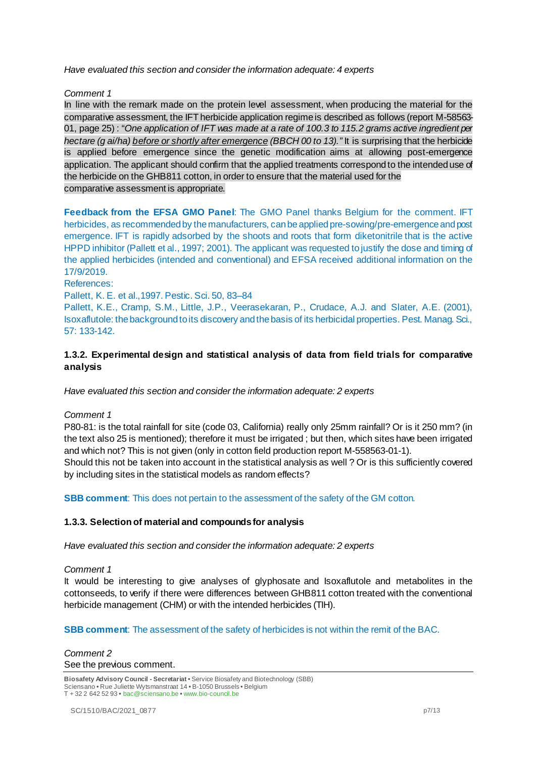*Have evaluated this section and consider the information adequate: 4 experts*

## *Comment 1*

In line with the remark made on the protein level assessment, when producing the material for the comparative assessment, the IFT herbicide application regime is described as follows (report M-58563- 01, page 25) : "*One application of IFT was made at a rate of 100.3 to 115.2 grams active ingredient per hectare (g ai/ha) before or shortly after emergence (BBCH 00 to 13)."* It is surprising that the herbicide is applied before emergence since the genetic modification aims at allowing post-emergence application. The applicant should confirm that the applied treatments correspond to the intended use of the herbicide on the GHB811 cotton, in order to ensure that the material used for the comparative assessment is appropriate.

**Feedback from the EFSA GMO Panel**: The GMO Panel thanks Belgium for the comment. IFT herbicides, as recommended by the manufacturers, can be applied pre-sowing/pre-emergence and post emergence. IFT is rapidly adsorbed by the shoots and roots that form diketonitrile that is the active HPPD inhibitor (Pallett et al., 1997; 2001). The applicant was requested to justify the dose and timing of the applied herbicides (intended and conventional) and EFSA received additional information on the 17/9/2019.

References:

Pallett, K. E. et al.,1997. Pestic. Sci. 50, 83–84

Pallett, K.E., Cramp, S.M., Little, J.P., Veerasekaran, P., Crudace, A.J. and Slater, A.E. (2001), Isoxaflutole: the background to its discovery and the basis of its herbicidal properties. Pest. Manag. Sci., 57: 133-142.

# **1.3.2. Experimental design and statistical analysis of data from field trials for comparative analysis**

*Have evaluated this section and consider the information adequate: 2 experts*

## *Comment 1*

P80-81: is the total rainfall for site (code 03, California) really only 25mm rainfall? Or is it 250 mm? (in the text also 25 is mentioned); therefore it must be irrigated ; but then, which sites have been irrigated and which not? This is not given (only in cotton field production report M-558563-01-1). Should this not be taken into account in the statistical analysis as well ? Or is this sufficiently covered by including sites in the statistical models as random effects?

**SBB comment:** This does not pertain to the assessment of the safety of the GM cotton.

## **1.3.3. Selection of material and compounds for analysis**

*Have evaluated this section and consider the information adequate: 2 experts*

## *Comment 1*

It would be interesting to give analyses of glyphosate and Isoxaflutole and metabolites in the cottonseeds, to verify if there were differences between GHB811 cotton treated with the conventional herbicide management (CHM) or with the intended herbicides (TIH).

## **SBB comment:** The assessment of the safety of herbicides is not within the remit of the BAC.

*Comment 2* See the previous comment.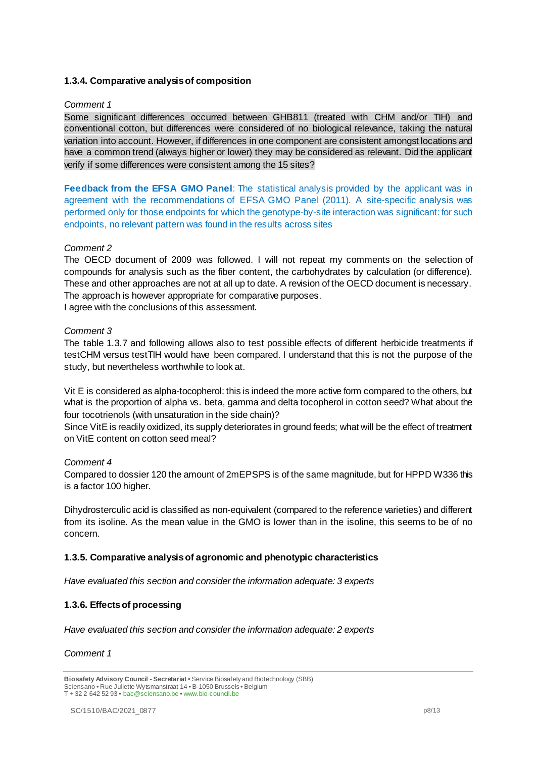# **1.3.4. Comparative analysis of composition**

#### *Comment 1*

Some significant differences occurred between GHB811 (treated with CHM and/or TIH) and conventional cotton, but differences were considered of no biological relevance, taking the natural variation into account. However, if differences in one component are consistent amongst locations and have a common trend (always higher or lower) they may be considered as relevant. Did the applicant verify if some differences were consistent among the 15 sites?

**Feedback from the EFSA GMO Panel**: The statistical analysis provided by the applicant was in agreement with the recommendations of EFSA GMO Panel (2011). A site-specific analysis was performed only for those endpoints for which the genotype-by-site interaction was significant: for such endpoints, no relevant pattern was found in the results across sites

#### *Comment 2*

The OECD document of 2009 was followed. I will not repeat my comments on the selection of compounds for analysis such as the fiber content, the carbohydrates by calculation (or difference). These and other approaches are not at all up to date. A revision of the OECD document is necessary. The approach is however appropriate for comparative purposes. I agree with the conclusions of this assessment.

*Comment 3* 

The table 1.3.7 and following allows also to test possible effects of different herbicide treatments if testCHM versus testTIH would have been compared. I understand that this is not the purpose of the study, but nevertheless worthwhile to look at.

Vit E is considered as alpha-tocopherol: this is indeed the more active form compared to the others, but what is the proportion of alpha vs. beta, gamma and delta tocopherol in cotton seed? What about the four tocotrienols (with unsaturation in the side chain)?

Since VitE is readily oxidized, its supply deteriorates in ground feeds; what will be the effect of treatment on VitE content on cotton seed meal?

#### *Comment 4*

Compared to dossier 120 the amount of 2mEPSPS is of the same magnitude, but for HPPD W336 this is a factor 100 higher.

Dihydrosterculic acid is classified as non-equivalent (compared to the reference varieties) and different from its isoline. As the mean value in the GMO is lower than in the isoline, this seems to be of no concern.

## **1.3.5. Comparative analysis of agronomic and phenotypic characteristics**

*Have evaluated this section and consider the information adequate: 3 experts*

## **1.3.6. Effects of processing**

*Have evaluated this section and consider the information adequate: 2 experts*

#### *Comment 1*

**Biosafety Advisory Council - Secretariat •** Service Biosafety and Biotechnology (SBB) Sciensano **•** Rue Juliette Wytsmanstraat 14 **•** B-1050 Brussels **•** Belgium T + 32 2 642 52 93 **•** bac@sciensano.be **•** www.bio-council.be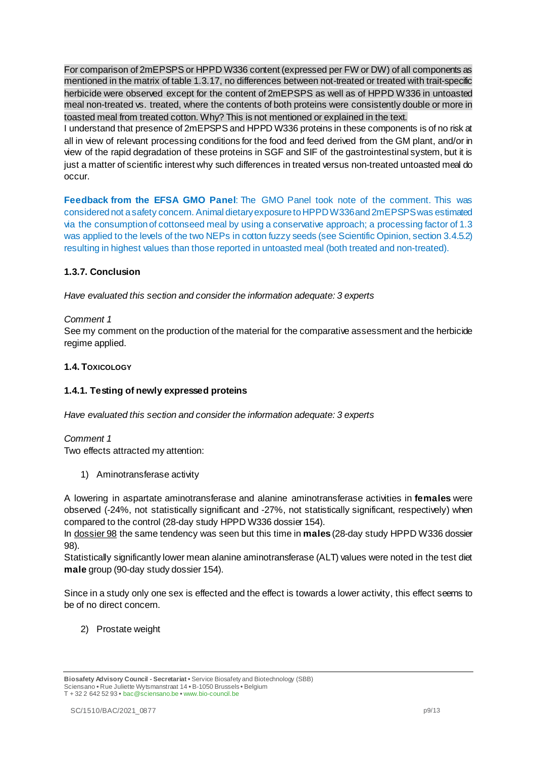For comparison of 2mEPSPS or HPPD W336 content (expressed per FW or DW) of all components as mentioned in the matrix of table 1.3.17, no differences between not-treated or treated with trait-specific herbicide were observed except for the content of 2mEPSPS as well as of HPPD W336 in untoasted meal non-treated vs. treated, where the contents of both proteins were consistently double or more in toasted meal from treated cotton. Why? This is not mentioned or explained in the text.

I understand that presence of 2mEPSPS and HPPD W336 proteins in these components is of no risk at all in view of relevant processing conditions for the food and feed derived from the GM plant, and/or in view of the rapid degradation of these proteins in SGF and SIF of the gastrointestinal system, but it is just a matter of scientific interest why such differences in treated versus non-treated untoasted meal do occur.

**Feedback from the EFSA GMO Panel**: The GMO Panel took note of the comment. This was considered not a safety concern. Animal dietary exposure to HPPD W336 and 2mEPSPS was estimated via the consumption of cottonseed meal by using a conservative approach; a processing factor of 1.3 was applied to the levels of the two NEPs in cotton fuzzy seeds (see Scientific Opinion, section 3.4.5.2) resulting in highest values than those reported in untoasted meal (both treated and non-treated).

# **1.3.7. Conclusion**

*Have evaluated this section and consider the information adequate: 3 experts*

# *Comment 1*

See my comment on the production of the material for the comparative assessment and the herbicide regime applied.

# **1.4. TOXICOLOGY**

# **1.4.1. Testing of newly expressed proteins**

*Have evaluated this section and consider the information adequate: 3 experts*

## *Comment 1*

Two effects attracted my attention:

1) Aminotransferase activity

A lowering in aspartate aminotransferase and alanine aminotransferase activities in **females** were observed (-24%, not statistically significant and -27%, not statistically significant, respectively) when compared to the control (28-day study HPPD W336 dossier 154).

In dossier 98 the same tendency was seen but this time in **males** (28-day study HPPD W336 dossier 98).

Statistically significantly lower mean alanine aminotransferase (ALT) values were noted in the test diet **male** group (90-day study dossier 154).

Since in a study only one sex is effected and the effect is towards a lower activity, this effect seems to be of no direct concern.

2) Prostate weight

**Biosafety Advisory Council - Secretariat •** Service Biosafety and Biotechnology (SBB) Sciensano **•** Rue Juliette Wytsmanstraat 14 **•** B-1050 Brussels **•** Belgium T + 32 2 642 52 93 **•** bac@sciensano.be **•** www.bio-council.be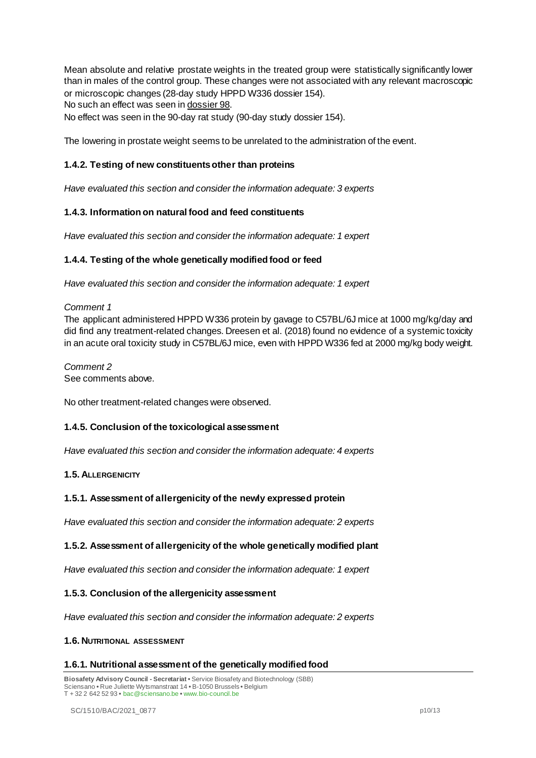Mean absolute and relative prostate weights in the treated group were statistically significantly lower than in males of the control group. These changes were not associated with any relevant macroscopic or microscopic changes (28-day study HPPD W336 dossier 154). No such an effect was seen in dossier 98. No effect was seen in the 90-day rat study (90-day study dossier 154).

The lowering in prostate weight seems to be unrelated to the administration of the event.

# **1.4.2. Testing of new constituents other than proteins**

*Have evaluated this section and consider the information adequate: 3 experts*

## **1.4.3. Information on natural food and feed constituents**

*Have evaluated this section and consider the information adequate: 1 expert*

## **1.4.4. Testing of the whole genetically modified food or feed**

*Have evaluated this section and consider the information adequate: 1 expert*

#### *Comment 1*

The applicant administered HPPD W336 protein by gavage to C57BL/6J mice at 1000 mg/kg/day and did find any treatment-related changes. Dreesen et al. (2018) found no evidence of a systemic toxicity in an acute oral toxicity study in C57BL/6J mice, even with HPPD W336 fed at 2000 mg/kg body weight.

*Comment 2* See comments above.

No other treatment-related changes were observed.

## **1.4.5. Conclusion of the toxicological assessment**

*Have evaluated this section and consider the information adequate: 4 experts*

## **1.5. ALLERGENICITY**

## **1.5.1. Assessment of allergenicity of the newly expressed protein**

*Have evaluated this section and consider the information adequate: 2 experts*

## **1.5.2. Assessment of allergenicity of the whole genetically modified plant**

*Have evaluated this section and consider the information adequate: 1 expert*

#### **1.5.3. Conclusion of the allergenicity assessment**

*Have evaluated this section and consider the information adequate: 2 experts*

#### **1.6. NUTRITIONAL ASSESSMENT**

#### **1.6.1. Nutritional assessment of the genetically modified food**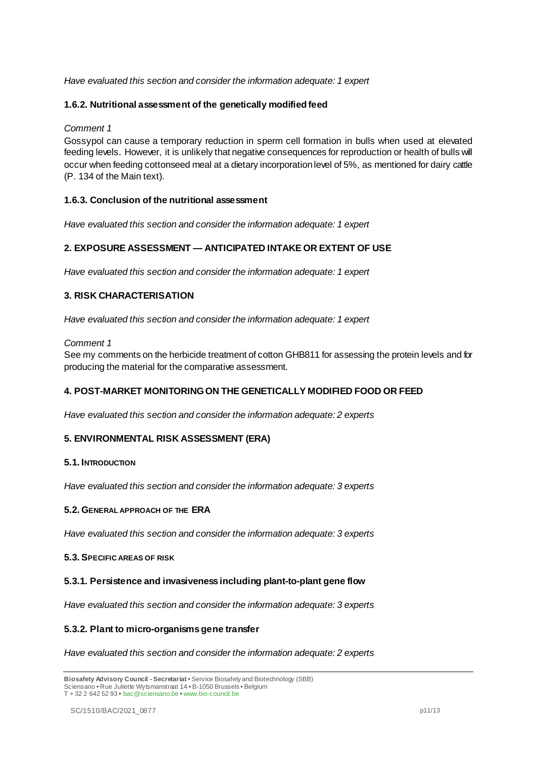# *Have evaluated this section and consider the information adequate: 1 expert*

# **1.6.2. Nutritional assessment of the genetically modified feed**

*Comment 1*

Gossypol can cause a temporary reduction in sperm cell formation in bulls when used at elevated feeding levels. However, it is unlikely that negative consequences for reproduction or health of bulls will occur when feeding cottonseed meal at a dietary incorporation level of 5%, as mentioned for dairy cattle (P. 134 of the Main text).

# **1.6.3. Conclusion of the nutritional assessment**

*Have evaluated this section and consider the information adequate: 1 expert*

# **2. EXPOSURE ASSESSMENT — ANTICIPATED INTAKE OR EXTENT OF USE**

*Have evaluated this section and consider the information adequate: 1 expert*

# **3. RISK CHARACTERISATION**

*Have evaluated this section and consider the information adequate: 1 expert*

#### *Comment 1*

See my comments on the herbicide treatment of cotton GHB811 for assessing the protein levels and for producing the material for the comparative assessment.

## **4. POST-MARKET MONITORING ON THE GENETICALLY MODIFIED FOOD OR FEED**

*Have evaluated this section and consider the information adequate: 2 experts*

## **5. ENVIRONMENTAL RISK ASSESSMENT (ERA)**

## **5.1. INTRODUCTION**

*Have evaluated this section and consider the information adequate: 3 experts*

## **5.2. GENERAL APPROACH OF THE ERA**

*Have evaluated this section and consider the information adequate: 3 experts*

#### **5.3. SPECIFIC AREAS OF RISK**

## **5.3.1. Persistence and invasiveness including plant-to-plant gene flow**

*Have evaluated this section and consider the information adequate: 3 experts*

## **5.3.2. Plant to micro-organisms gene transfer**

*Have evaluated this section and consider the information adequate: 2 experts*

**Biosafety Advisory Council - Secretariat •** Service Biosafety and Biotechnology (SBB) Sciensano **•** Rue Juliette Wytsmanstraat 14 **•** B-1050 Brussels **•** Belgium T + 32 2 642 52 93 **•** bac@sciensano.be **•** www.bio-council.be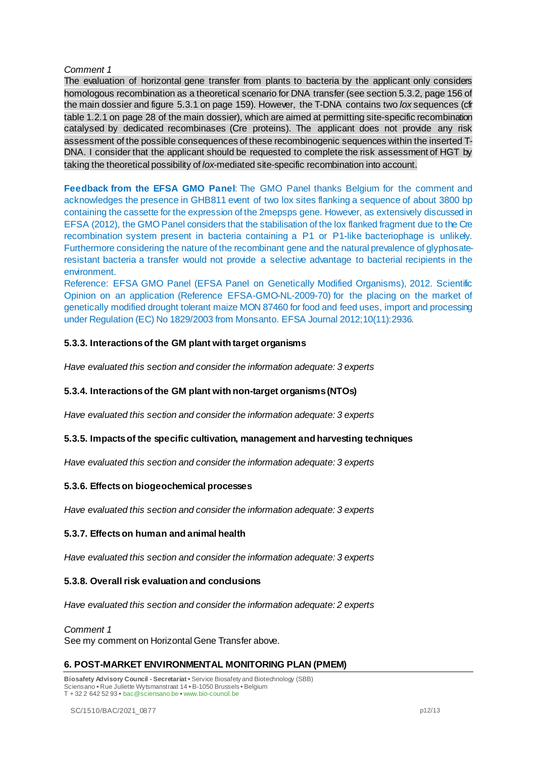## *Comment 1*

The evaluation of horizontal gene transfer from plants to bacteria by the applicant only considers homologous recombination as a theoretical scenario for DNA transfer (see section 5.3.2, page 156 of the main dossier and figure 5.3.1 on page 159). However, the T-DNA contains two *lox* sequences (cfr table 1.2.1 on page 28 of the main dossier), which are aimed at permitting site-specific recombination catalysed by dedicated recombinases (Cre proteins). The applicant does not provide any risk assessment of the possible consequences of these recombinogenic sequences within the inserted T-DNA. I consider that the applicant should be requested to complete the risk assessment of HGT by taking the theoretical possibility of *lox*-mediated site-specific recombination into account.

**Feedback from the EFSA GMO Panel**: The GMO Panel thanks Belgium for the comment and acknowledges the presence in GHB811 event of two lox sites flanking a sequence of about 3800 bp containing the cassette for the expression of the 2mepsps gene. However, as extensively discussed in EFSA (2012), the GMO Panel considers that the stabilisation of the lox flanked fragment due to the Cre recombination system present in bacteria containing a P1 or P1-like bacteriophage is unlikely. Furthermore considering the nature of the recombinant gene and the natural prevalence of glyphosateresistant bacteria a transfer would not provide a selective advantage to bacterial recipients in the environment.

Reference: EFSA GMO Panel (EFSA Panel on Genetically Modified Organisms), 2012. Scientific Opinion on an application (Reference EFSA-GMO-NL-2009-70) for the placing on the market of genetically modified drought tolerant maize MON 87460 for food and feed uses, import and processing under Regulation (EC) No 1829/2003 from Monsanto. EFSA Journal 2012;10(11):2936.

# **5.3.3. Interactions of the GM plant with target organisms**

*Have evaluated this section and consider the information adequate: 3 experts*

## **5.3.4. Interactions of the GM plant with non-target organisms (NTOs)**

*Have evaluated this section and consider the information adequate: 3 experts*

## **5.3.5. Impacts of the specific cultivation, management and harvesting techniques**

*Have evaluated this section and consider the information adequate: 3 experts*

## **5.3.6. Effects on biogeochemical processes**

*Have evaluated this section and consider the information adequate: 3 experts*

## **5.3.7. Effects on human and animal health**

*Have evaluated this section and consider the information adequate: 3 experts*

## **5.3.8. Overall risk evaluation and conclusions**

*Have evaluated this section and consider the information adequate: 2 experts*

*Comment 1* See my comment on Horizontal Gene Transfer above.

## **6. POST-MARKET ENVIRONMENTAL MONITORING PLAN (PMEM)**